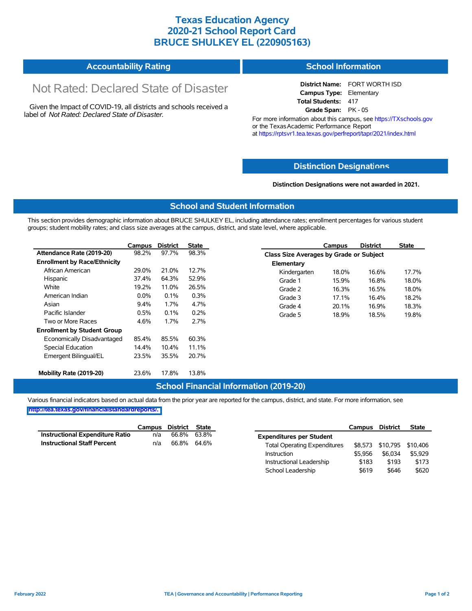## **Texas Education Agency 2020-21 School Report Card BRUCE SHULKEY EL (220905163)**

| <b>School Information</b> |
|---------------------------|
|                           |

# Not Rated: Declared State of Disaster

Given the Impact of COVID-19, all districts and schools received a label of *Not Rated: Declared State of Disaster.*

**District Name:** FORT WORTH ISD **Campus Type:** Elementary **Total Students:** 417 **Grade Span:** PK - 05

For more information about this campus, see https://TXschools.gov or the Texas Academic Performance Report at https://rptsvr1.tea.texas.gov/perfreport/tapr/2021/index.html

#### **Distinction Designat[ions](https://TXschools.gov)**

**Distinction Designations were not awarded in 2021.**

School Leadership  $$619$  \$646 \$620

#### **School and Student Information**

This section provides demographic information about BRUCE SHULKEY EL, including attendance rates; enrollment percentages for various student groups; student mobility rates; and class size averages at the campus, district, and state level, where applicable.

|                                     | Campus  | <b>District</b> | <b>State</b> | <b>District</b><br>Campus               | <b>State</b> |
|-------------------------------------|---------|-----------------|--------------|-----------------------------------------|--------------|
| Attendance Rate (2019-20)           | 98.2%   | 97.7%           | 98.3%        | Class Size Averages by Grade or Subject |              |
| <b>Enrollment by Race/Ethnicity</b> |         |                 |              | Elementary                              |              |
| African American                    | 29.0%   | 21.0%           | 12.7%        | 16.6%<br>Kindergarten<br>18.0%          | 17.7%        |
| Hispanic                            | 37.4%   | 64.3%           | 52.9%        | 15.9%<br>Grade 1<br>16.8%               | 18.0%        |
| White                               | 19.2%   | 11.0%           | 26.5%        | Grade 2<br>16.3%<br>16.5%               | 18.0%        |
| American Indian                     | $0.0\%$ | 0.1%            | 0.3%         | Grade 3<br>17.1%<br>16.4%               | 18.2%        |
| Asian                               | 9.4%    | 1.7%            | 4.7%         | Grade 4<br>20.1%<br>16.9%               | 18.3%        |
| Pacific Islander                    | 0.5%    | 0.1%            | 0.2%         | 18.9%<br>Grade 5<br>18.5%               | 19.8%        |
| Two or More Races                   | 4.6%    | 1.7%            | 2.7%         |                                         |              |
| <b>Enrollment by Student Group</b>  |         |                 |              |                                         |              |
| Economically Disadvantaged          | 85.4%   | 85.5%           | 60.3%        |                                         |              |
| Special Education                   | 14.4%   | 10.4%           | 11.1%        |                                         |              |
| Emergent Bilingual/EL               | 23.5%   | 35.5%           | 20.7%        |                                         |              |
|                                     |         |                 |              |                                         |              |
| Mobility Rate (2019-20)             | 23.6%   | 17.8%           | 13.8%        |                                         |              |

#### **School Financial Information (2019-20)**

Various financial indicators based on actual data from the prior year are reported for the campus, district, and state. For more information, see

**[http://tea.texas.gov/financialstandardreports/.](http://tea.texas.gov/financialstandardreports/)**

|                                        | Campus | District | State       |                                     | Campus  | <b>District</b>           | <b>State</b> |
|----------------------------------------|--------|----------|-------------|-------------------------------------|---------|---------------------------|--------------|
| <b>Instructional Expenditure Ratio</b> | n/a    | 66.8%    | 63.8%       | <b>Expenditures per Student</b>     |         |                           |              |
| <b>Instructional Staff Percent</b>     | n/a    |          | 66.8% 64.6% | <b>Total Operating Expenditures</b> |         | \$8,573 \$10,795 \$10,406 |              |
|                                        |        |          |             | Instruction                         | \$5.956 | \$6.034                   | \$5.929      |
|                                        |        |          |             | Instructional Leadership            | \$183   | \$193                     | \$173        |